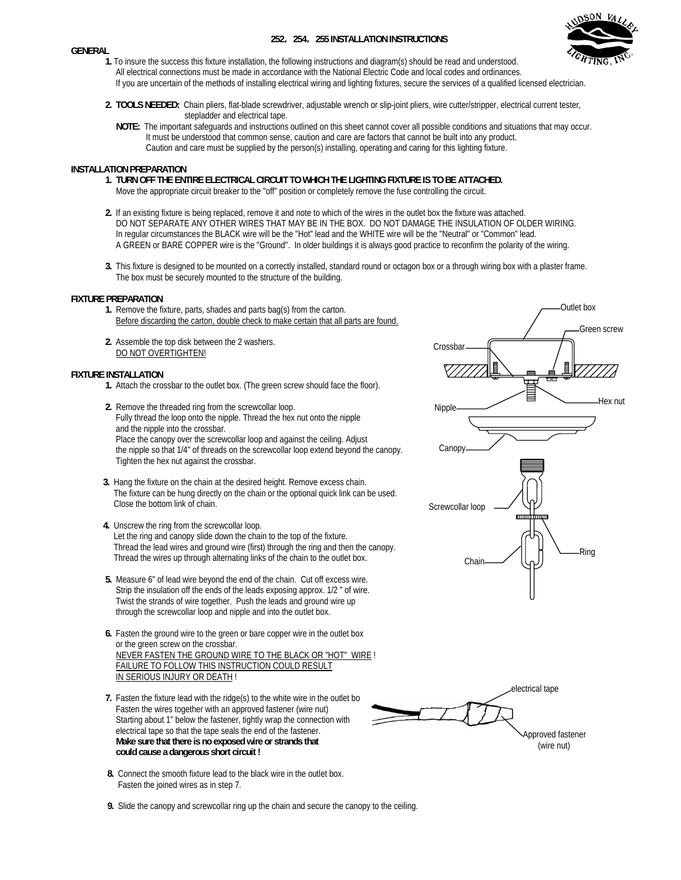#### **GENERAL**

# **252**,**254**,**255 INSTALLATION INSTRUCTIONS**



- **1.** To insure the success this fixture installation, the following instructions and diagram(s) should be read and understood. All electrical connections must be made in accordance with the National Electric Code and local codes and ordinances. If you are uncertain of the methods of installing electrical wiring and lighting fixtures, secure the services of a qualified licensed electrician.
- **2. TOOLS NEEDED:** Chain pliers, flat-blade screwdriver, adjustable wrench or slip-joint pliers, wire cutter/stripper, electrical current tester, stepladder and electrical tape.
	- **NOTE:** The important safeguards and instructions outlined on this sheet cannot cover all possible conditions and situations that may occur. It must be understood that common sense, caution and care are factors that cannot be built into any product. Caution and care must be supplied by the person(s) installing, operating and caring for this lighting fixture.

# **INSTALLATION PREPARATION**

- **1. TURN OFF THE ENTIRE ELECTRICAL CIRCUIT TO WHICH THE LIGHTING FIXTURE IS TO BE ATTACHED.** Move the appropriate circuit breaker to the "off" position or completely remove the fuse controlling the circuit.
- **2.** If an existing fixture is being replaced, remove it and note to which of the wires in the outlet box the fixture was attached. DO NOT SEPARATE ANY OTHER WIRES THAT MAY BE IN THE BOX. DO NOT DAMAGE THE INSULATION OF OLDER WIRING. In regular circumstances the BLACK wire will be the "Hot" lead and the WHITE wire will be the "Neutral" or "Common" lead. A GREEN or BARE COPPER wire is the "Ground". In older buildings it is always good practice to reconfirm the polarity of the wiring.
- **3.** This fixture is designed to be mounted on a correctly installed, standard round or octagon box or a through wiring box with a plaster frame. The box must be securely mounted to the structure of the building.

#### **FIXTURE PREPARATION**

- **1.** Remove the fixture, parts, shades and parts bag(s) from the carton. Before discarding the carton, double check to make certain that all parts are found.
- **2.** Assemble the top disk between the 2 washers. DO NOT OVERTIGHTEN!

### **FIXTURE INSTALLATION**

- **1.** Attach the crossbar to the outlet box. (The green screw should face the floor).
- **2.** Remove the threaded ring from the screwcollar loop. Fully thread the loop onto the nipple. Thread the hex nut onto the nipple and the nipple into the crossbar. Place the canopy over the screwcollar loop and against the ceiling. Adjust the nipple so that 1/4" of threads on the screwcollar loop extend beyond the canopy. Tighten the hex nut against the crossbar.
- **3.** Hang the fixture on the chain at the desired height. Remove excess chain. The fixture can be hung directly on the chain or the optional quick link can be used. Close the bottom link of chain.
- **4.** Unscrew the ring from the screwcollar loop. Let the ring and canopy slide down the chain to the top of the fixture. Thread the lead wires and ground wire (first) through the ring and then the canopy. Thread the wires up through alternating links of the chain to the outlet box.
- **5.** Measure 6" of lead wire beyond the end of the chain. Cut off excess wire. Strip the insulation off the ends of the leads exposing approx. 1/2 " of wire. Twist the strands of wire together. Push the leads and ground wire up through the screwcollar loop and nipple and into the outlet box.
- **6.** Fasten the ground wire to the green or bare copper wire in the outlet box or the green screw on the crossbar. NEVER FASTEN THE GROUND WIRE TO THE BLACK OR "HOT" WIRE ! FAILURE TO FOLLOW THIS INSTRUCTION COULD RESULT IN SERIOUS INJURY OR DEATH !
- **7.** Fasten the fixture lead with the ridge(s) to the white wire in the outlet bo Fasten the wires together with an approved fastener (wire nut) Starting about 1" below the fastener, tightly wrap the connection with electrical tape so that the tape seals the end of the fastener. **Make sure that there is no exposed wire or strands that could cause a dangerous short circuit !**
- **8.** Connect the smooth fixture lead to the black wire in the outlet box. Fasten the joined wires as in step 7.
- **9.** Slide the canopy and screwcollar ring up the chain and secure the canopy to the ceiling.